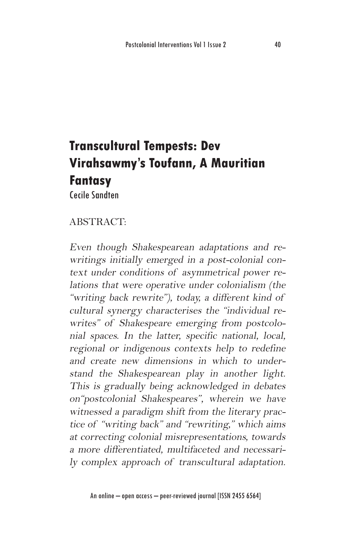# **Transcultural Tempests: Dev Virahsawmy's Toufann, A Mauritian Fantasy**

Cecile Sandten

# ABSTRACT:

Even though Shakespearean adaptations and rewritings initially emerged in a post-colonial context under conditions of asymmetrical power relations that were operative under colonialism (the "writing back rewrite"), today, a different kind of cultural synergy characterises the "individual rewrites" of Shakespeare emerging from postcolonial spaces. In the latter, specific national, local, regional or indigenous contexts help to redefine and create new dimensions in which to understand the Shakespearean play in another light. This is gradually being acknowledged in debates on"postcolonial Shakespeares", wherein we have witnessed a paradigm shift from the literary practice of "writing back" and "rewriting," which aims at correcting colonial misrepresentations, towards a more differentiated, multifaceted and necessarily complex approach of transcultural adaptation.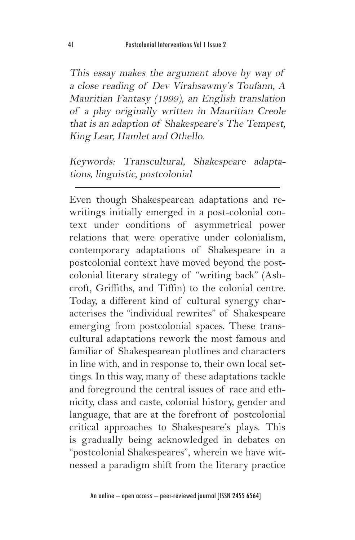This essay makes the argument above by way of a close reading of Dev Virahsawmy's Toufann, A Mauritian Fantasy (1999), an English translation of a play originally written in Mauritian Creole that is an adaption of Shakespeare's The Tempest, King Lear, Hamlet and Othello.

Keywords: Transcultural, Shakespeare adaptations, linguistic, postcolonial

Even though Shakespearean adaptations and rewritings initially emerged in a post-colonial context under conditions of asymmetrical power relations that were operative under colonialism, contemporary adaptations of Shakespeare in a postcolonial context have moved beyond the postcolonial literary strategy of "writing back" (Ashcroft, Griffiths, and Tiffin) to the colonial centre. Today, a different kind of cultural synergy characterises the "individual rewrites" of Shakespeare emerging from postcolonial spaces. These transcultural adaptations rework the most famous and familiar of Shakespearean plotlines and characters in line with, and in response to, their own local settings. In this way, many of these adaptations tackle and foreground the central issues of race and ethnicity, class and caste, colonial history, gender and language, that are at the forefront of postcolonial critical approaches to Shakespeare's plays. This is gradually being acknowledged in debates on "postcolonial Shakespeares", wherein we have witnessed a paradigm shift from the literary practice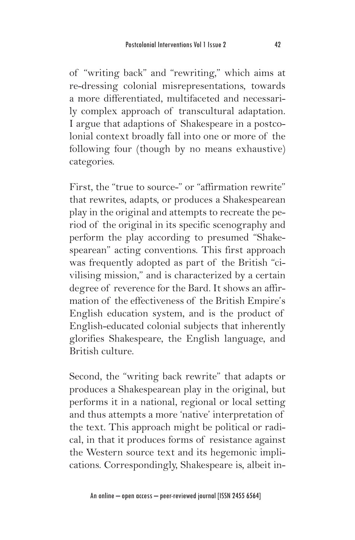of "writing back" and "rewriting," which aims at re-dressing colonial misrepresentations, towards a more differentiated, multifaceted and necessarily complex approach of transcultural adaptation. I argue that adaptions of Shakespeare in a postcolonial context broadly fall into one or more of the following four (though by no means exhaustive) categories.

First, the "true to source-" or "affirmation rewrite" that rewrites, adapts, or produces a Shakespearean play in the original and attempts to recreate the period of the original in its specific scenography and perform the play according to presumed "Shakespearean" acting conventions. This first approach was frequently adopted as part of the British "civilising mission," and is characterized by a certain degree of reverence for the Bard. It shows an affirmation of the effectiveness of the British Empire's English education system, and is the product of English-educated colonial subjects that inherently glorifies Shakespeare, the English language, and British culture.

Second, the "writing back rewrite" that adapts or produces a Shakespearean play in the original, but performs it in a national, regional or local setting and thus attempts a more 'native' interpretation of the text. This approach might be political or radical, in that it produces forms of resistance against the Western source text and its hegemonic implications. Correspondingly, Shakespeare is, albeit in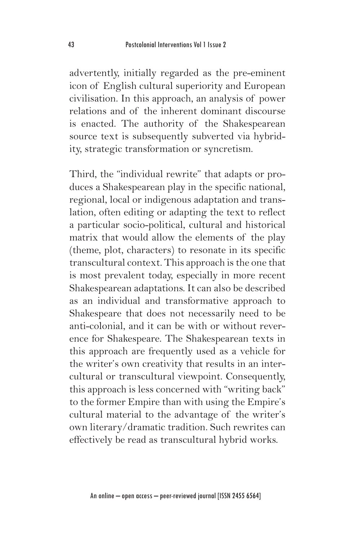advertently, initially regarded as the pre-eminent icon of English cultural superiority and European civilisation. In this approach, an analysis of power relations and of the inherent dominant discourse is enacted. The authority of the Shakespearean source text is subsequently subverted via hybridity, strategic transformation or syncretism.

Third, the "individual rewrite" that adapts or produces a Shakespearean play in the specific national, regional, local or indigenous adaptation and translation, often editing or adapting the text to reflect a particular socio-political, cultural and historical matrix that would allow the elements of the play (theme, plot, characters) to resonate in its specific transcultural context. This approach is the one that is most prevalent today, especially in more recent Shakespearean adaptations. It can also be described as an individual and transformative approach to Shakespeare that does not necessarily need to be anti-colonial, and it can be with or without reverence for Shakespeare. The Shakespearean texts in this approach are frequently used as a vehicle for the writer's own creativity that results in an intercultural or transcultural viewpoint. Consequently, this approach is less concerned with "writing back" to the former Empire than with using the Empire's cultural material to the advantage of the writer's own literary/dramatic tradition. Such rewrites can effectively be read as transcultural hybrid works.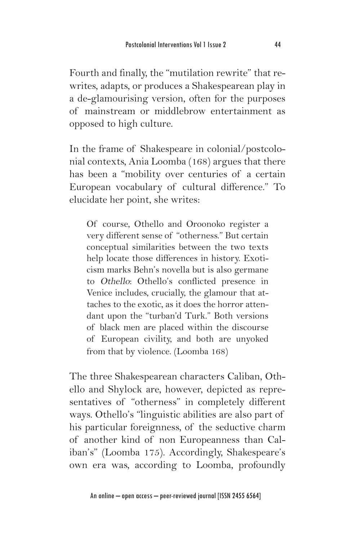Fourth and finally, the "mutilation rewrite" that rewrites, adapts, or produces a Shakespearean play in a de-glamourising version, often for the purposes of mainstream or middlebrow entertainment as opposed to high culture.

In the frame of Shakespeare in colonial/postcolonial contexts, Ania Loomba (168) argues that there has been a "mobility over centuries of a certain European vocabulary of cultural difference." To elucidate her point, she writes:

Of course, Othello and Oroonoko register a very different sense of "otherness." But certain conceptual similarities between the two texts help locate those differences in history. Exoticism marks Behn's novella but is also germane to Othello: Othello's conflicted presence in Venice includes, crucially, the glamour that attaches to the exotic, as it does the horror attendant upon the "turban'd Turk." Both versions of black men are placed within the discourse of European civility, and both are unyoked from that by violence. (Loomba 168)

The three Shakespearean characters Caliban, Othello and Shylock are, however, depicted as representatives of "otherness" in completely different ways. Othello's "linguistic abilities are also part of his particular foreignness, of the seductive charm of another kind of non Europeanness than Caliban's" (Loomba 175). Accordingly, Shakespeare's own era was, according to Loomba, profoundly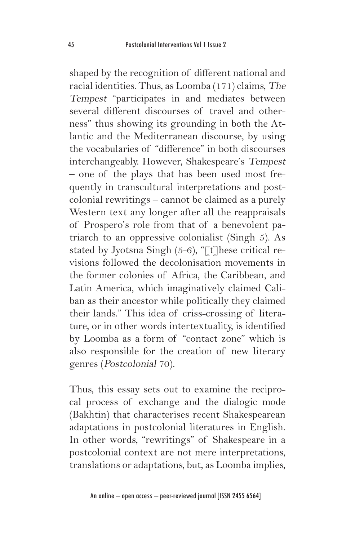shaped by the recognition of different national and racial identities. Thus, as Loomba (171) claims, The Tempest "participates in and mediates between several different discourses of travel and otherness" thus showing its grounding in both the Atlantic and the Mediterranean discourse, by using the vocabularies of "difference" in both discourses interchangeably. However, Shakespeare's Tempest – one of the plays that has been used most frequently in transcultural interpretations and postcolonial rewritings – cannot be claimed as a purely Western text any longer after all the reappraisals of Prospero's role from that of a benevolent patriarch to an oppressive colonialist (Singh 5). As stated by Jyotsna Singh  $(5-6)$ , "[t] hese critical revisions followed the decolonisation movements in the former colonies of Africa, the Caribbean, and Latin America, which imaginatively claimed Caliban as their ancestor while politically they claimed their lands." This idea of criss-crossing of literature, or in other words intertextuality, is identified by Loomba as a form of "contact zone" which is also responsible for the creation of new literary genres (Postcolonial 70).

Thus, this essay sets out to examine the reciprocal process of exchange and the dialogic mode (Bakhtin) that characterises recent Shakespearean adaptations in postcolonial literatures in English. In other words, "rewritings" of Shakespeare in a postcolonial context are not mere interpretations, translations or adaptations, but, as Loomba implies,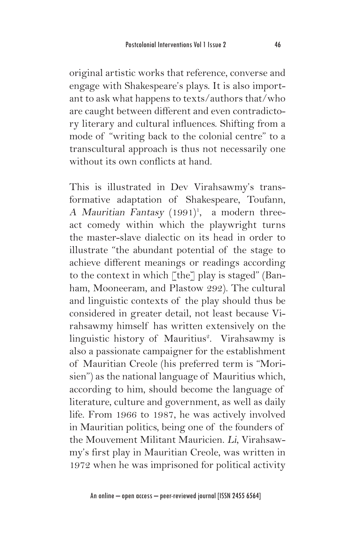original artistic works that reference, converse and engage with Shakespeare's plays. It is also important to ask what happens to texts/authors that/who are caught between different and even contradictory literary and cultural influences. Shifting from a mode of "writing back to the colonial centre" to a transcultural approach is thus not necessarily one without its own conflicts at hand.

This is illustrated in Dev Virahsawmy's transformative adaptation of Shakespeare, Toufann, A *Mauritian Fantasy* (1991)<sup>1</sup>, a modern threeact comedy within which the playwright turns the master-slave dialectic on its head in order to illustrate "the abundant potential of the stage to achieve different meanings or readings according to the context in which  $\lceil \text{the} \rceil$  play is staged" (Banham, Mooneeram, and Plastow 292). The cultural and linguistic contexts of the play should thus be considered in greater detail, not least because Virahsawmy himself has written extensively on the linguistic history of Mauritius<sup>2</sup>. Virahsawmy is also a passionate campaigner for the establishment of Mauritian Creole (his preferred term is "Morisien") as the national language of Mauritius which, according to him, should become the language of literature, culture and government, as well as daily life. From 1966 to 1987, he was actively involved in Mauritian politics, being one of the founders of the Mouvement Militant Mauricien. Li, Virahsawmy's first play in Mauritian Creole, was written in 1972 when he was imprisoned for political activity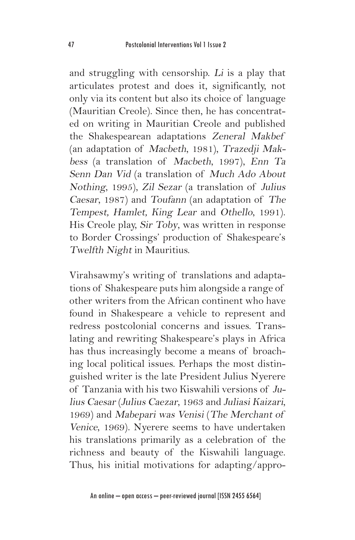and struggling with censorship. Li is a play that articulates protest and does it, significantly, not only via its content but also its choice of language (Mauritian Creole). Since then, he has concentrated on writing in Mauritian Creole and published the Shakespearean adaptations Zeneral Makbef (an adaptation of Macbeth, 1981), Trazedji Makbess (a translation of Macbeth, 1997), Enn Ta Senn Dan Vid (a translation of Much Ado About Nothing, 1995), Zil Sezar (a translation of Julius Caesar, 1987) and Toufann (an adaptation of The Tempest, Hamlet, King Lear and Othello, 1991). His Creole play, Sir Toby, was written in response to Border Crossings' production of Shakespeare's Twelfth Night in Mauritius.

Virahsawmy's writing of translations and adaptations of Shakespeare puts him alongside a range of other writers from the African continent who have found in Shakespeare a vehicle to represent and redress postcolonial concerns and issues. Translating and rewriting Shakespeare's plays in Africa has thus increasingly become a means of broaching local political issues. Perhaps the most distinguished writer is the late President Julius Nyerere of Tanzania with his two Kiswahili versions of Julius Caesar (Julius Caezar, 1963 and Juliasi Kaizari, 1969) and Mabepari was Venisi (The Merchant of Venice, 1969). Nyerere seems to have undertaken his translations primarily as a celebration of the richness and beauty of the Kiswahili language. Thus, his initial motivations for adapting/appro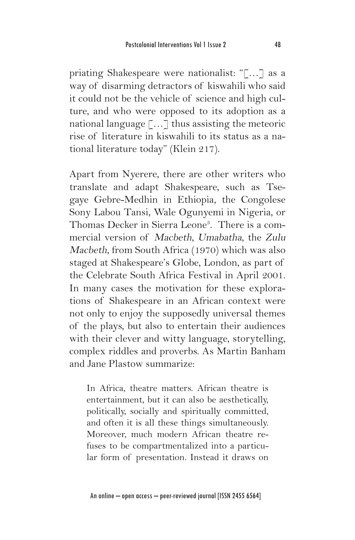priating Shakespeare were nationalist: "[…] as a way of disarming detractors of kiswahili who said it could not be the vehicle of science and high culture, and who were opposed to its adoption as a national language […] thus assisting the meteoric rise of literature in kiswahili to its status as a national literature today" (Klein 217).

Apart from Nyerere, there are other writers who translate and adapt Shakespeare, such as Tsegaye Gebre-Medhin in Ethiopia, the Congolese Sony Labou Tansi, Wale Ogunyemi in Nigeria, or Thomas Decker in Sierra Leone<sup>3</sup>. There is a commercial version of Macbeth, Umabatha, the Zulu Macbeth, from South Africa (1970) which was also staged at Shakespeare's Globe, London, as part of the Celebrate South Africa Festival in April 2001. In many cases the motivation for these explorations of Shakespeare in an African context were not only to enjoy the supposedly universal themes of the plays, but also to entertain their audiences with their clever and witty language, storytelling, complex riddles and proverbs. As Martin Banham and Jane Plastow summarize:

In Africa, theatre matters. African theatre is entertainment, but it can also be aesthetically, politically, socially and spiritually committed, and often it is all these things simultaneously. Moreover, much modern African theatre refuses to be compartmentalized into a particular form of presentation. Instead it draws on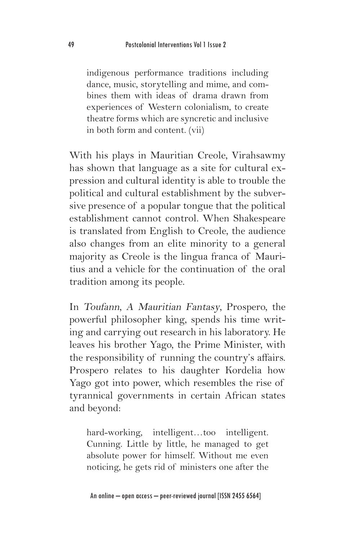indigenous performance traditions including dance, music, storytelling and mime, and combines them with ideas of drama drawn from experiences of Western colonialism, to create theatre forms which are syncretic and inclusive in both form and content. (vii)

With his plays in Mauritian Creole, Virahsawmy has shown that language as a site for cultural expression and cultural identity is able to trouble the political and cultural establishment by the subversive presence of a popular tongue that the political establishment cannot control. When Shakespeare is translated from English to Creole, the audience also changes from an elite minority to a general majority as Creole is the lingua franca of Mauritius and a vehicle for the continuation of the oral tradition among its people.

In Toufann, A Mauritian Fantasy, Prospero, the powerful philosopher king, spends his time writing and carrying out research in his laboratory. He leaves his brother Yago, the Prime Minister, with the responsibility of running the country's affairs. Prospero relates to his daughter Kordelia how Yago got into power, which resembles the rise of tyrannical governments in certain African states and beyond:

hard-working, intelligent…too intelligent. Cunning. Little by little, he managed to get absolute power for himself. Without me even noticing, he gets rid of ministers one after the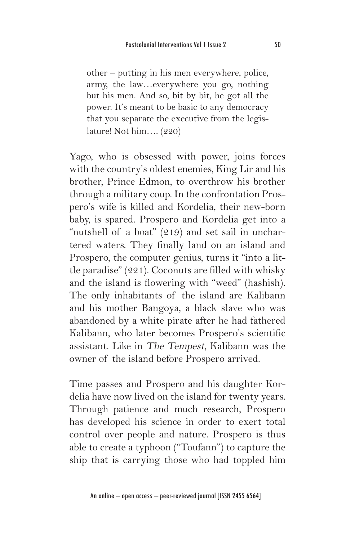other – putting in his men everywhere, police, army, the law…everywhere you go, nothing but his men. And so, bit by bit, he got all the power. It's meant to be basic to any democracy that you separate the executive from the legislature! Not him…. (220)

Yago, who is obsessed with power, joins forces with the country's oldest enemies, King Lir and his brother, Prince Edmon, to overthrow his brother through a military coup. In the confrontation Prospero's wife is killed and Kordelia, their new-born baby, is spared. Prospero and Kordelia get into a "nutshell of a boat" (219) and set sail in unchartered waters. They finally land on an island and Prospero, the computer genius, turns it "into a little paradise" (221). Coconuts are filled with whisky and the island is flowering with "weed" (hashish). The only inhabitants of the island are Kalibann and his mother Bangoya, a black slave who was abandoned by a white pirate after he had fathered Kalibann, who later becomes Prospero's scientific assistant. Like in The Tempest, Kalibann was the owner of the island before Prospero arrived.

Time passes and Prospero and his daughter Kordelia have now lived on the island for twenty years. Through patience and much research, Prospero has developed his science in order to exert total control over people and nature. Prospero is thus able to create a typhoon ("Toufann") to capture the ship that is carrying those who had toppled him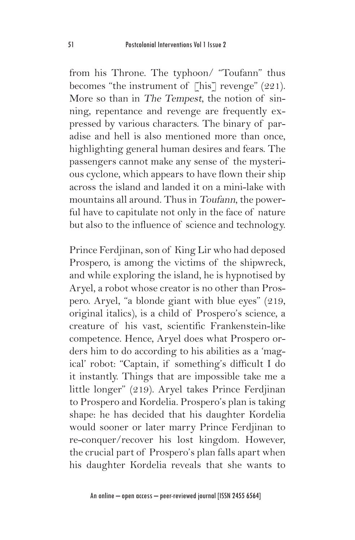from his Throne. The typhoon/ "Toufann" thus becomes "the instrument of [his] revenge" (221). More so than in The Tempest, the notion of sinning, repentance and revenge are frequently expressed by various characters. The binary of paradise and hell is also mentioned more than once, highlighting general human desires and fears. The passengers cannot make any sense of the mysterious cyclone, which appears to have flown their ship across the island and landed it on a mini-lake with mountains all around. Thus in Toufann, the powerful have to capitulate not only in the face of nature but also to the influence of science and technology.

Prince Ferdjinan, son of King Lir who had deposed Prospero, is among the victims of the shipwreck, and while exploring the island, he is hypnotised by Aryel, a robot whose creator is no other than Prospero. Aryel, "a blonde giant with blue eyes" (219, original italics), is a child of Prospero's science, a creature of his vast, scientific Frankenstein-like competence. Hence, Aryel does what Prospero orders him to do according to his abilities as a 'magical' robot: "Captain, if something's difficult I do it instantly. Things that are impossible take me a little longer" (219). Aryel takes Prince Ferdjinan to Prospero and Kordelia. Prospero's plan is taking shape: he has decided that his daughter Kordelia would sooner or later marry Prince Ferdjinan to re-conquer/recover his lost kingdom. However, the crucial part of Prospero's plan falls apart when his daughter Kordelia reveals that she wants to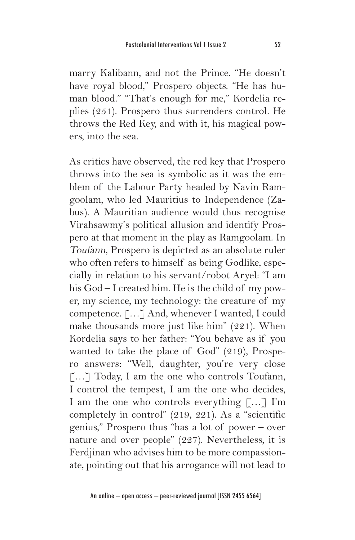marry Kalibann, and not the Prince. "He doesn't have royal blood," Prospero objects. "He has human blood." "That's enough for me," Kordelia replies (251). Prospero thus surrenders control. He throws the Red Key, and with it, his magical powers, into the sea.

As critics have observed, the red key that Prospero throws into the sea is symbolic as it was the emblem of the Labour Party headed by Navin Ramgoolam, who led Mauritius to Independence (Zabus). A Mauritian audience would thus recognise Virahsawmy's political allusion and identify Prospero at that moment in the play as Ramgoolam. In Toufann, Prospero is depicted as an absolute ruler who often refers to himself as being Godlike, especially in relation to his servant/robot Aryel: "I am his God – I created him. He is the child of my power, my science, my technology: the creature of my competence. […] And, whenever I wanted, I could make thousands more just like him" (221). When Kordelia says to her father: "You behave as if you wanted to take the place of God" (219), Prospero answers: "Well, daughter, you're very close [...] Today, I am the one who controls Toufann, I control the tempest, I am the one who decides, I am the one who controls everything […] I'm completely in control" (219, 221). As a "scientific genius," Prospero thus "has a lot of power – over nature and over people" (227). Nevertheless, it is Ferdjinan who advises him to be more compassionate, pointing out that his arrogance will not lead to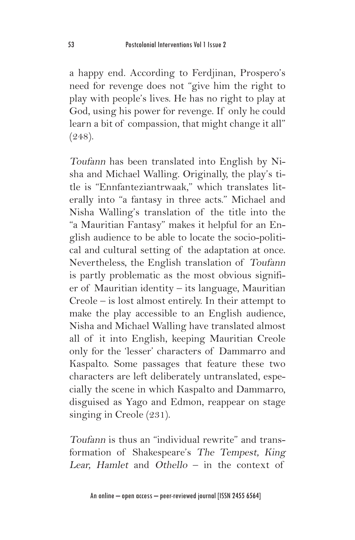a happy end. According to Ferdjinan, Prospero's need for revenge does not "give him the right to play with people's lives. He has no right to play at God, using his power for revenge. If only he could learn a bit of compassion, that might change it all" (248).

Toufann has been translated into English by Nisha and Michael Walling. Originally, the play's title is "Ennfanteziantrwaak," which translates literally into "a fantasy in three acts." Michael and Nisha Walling's translation of the title into the "a Mauritian Fantasy" makes it helpful for an English audience to be able to locate the socio-political and cultural setting of the adaptation at once. Nevertheless, the English translation of Toufann is partly problematic as the most obvious signifier of Mauritian identity – its language, Mauritian Creole – is lost almost entirely. In their attempt to make the play accessible to an English audience, Nisha and Michael Walling have translated almost all of it into English, keeping Mauritian Creole only for the 'lesser' characters of Dammarro and Kaspalto. Some passages that feature these two characters are left deliberately untranslated, especially the scene in which Kaspalto and Dammarro, disguised as Yago and Edmon, reappear on stage singing in Creole (231).

Toufann is thus an "individual rewrite" and transformation of Shakespeare's The Tempest, King Lear, Hamlet and Othello – in the context of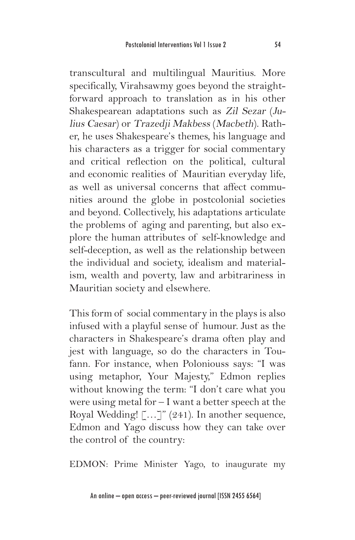transcultural and multilingual Mauritius. More specifically, Virahsawmy goes beyond the straightforward approach to translation as in his other Shakespearean adaptations such as Zil Sezar (Julius Caesar) or Trazedji Makbess (Macbeth). Rather, he uses Shakespeare's themes, his language and his characters as a trigger for social commentary and critical reflection on the political, cultural and economic realities of Mauritian everyday life, as well as universal concerns that affect communities around the globe in postcolonial societies and beyond. Collectively, his adaptations articulate the problems of aging and parenting, but also explore the human attributes of self-knowledge and self-deception, as well as the relationship between the individual and society, idealism and materialism, wealth and poverty, law and arbitrariness in Mauritian society and elsewhere.

This form of social commentary in the plays is also infused with a playful sense of humour. Just as the characters in Shakespeare's drama often play and jest with language, so do the characters in Toufann. For instance, when Poloniouss says: "I was using metaphor, Your Majesty," Edmon replies without knowing the term: "I don't care what you were using metal for – I want a better speech at the Royal Wedding! [...]" (241). In another sequence, Edmon and Yago discuss how they can take over the control of the country:

EDMON: Prime Minister Yago, to inaugurate my

An online – open access – peer-reviewed journal [ISSN 2455 6564]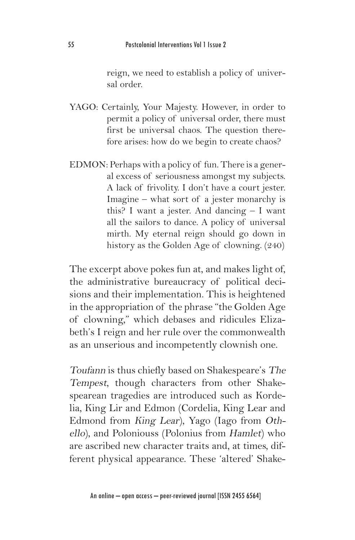reign, we need to establish a policy of universal order.

- YAGO: Certainly, Your Majesty. However, in order to permit a policy of universal order, there must first be universal chaos. The question therefore arises: how do we begin to create chaos?
- EDMON: Perhaps with a policy of fun. There is a general excess of seriousness amongst my subjects. A lack of frivolity. I don't have a court jester. Imagine – what sort of a jester monarchy is this? I want a jester. And dancing – I want all the sailors to dance. A policy of universal mirth. My eternal reign should go down in history as the Golden Age of clowning. (240)

The excerpt above pokes fun at, and makes light of, the administrative bureaucracy of political decisions and their implementation. This is heightened in the appropriation of the phrase "the Golden Age of clowning," which debases and ridicules Elizabeth's I reign and her rule over the commonwealth as an unserious and incompetently clownish one.

Toufann is thus chiefly based on Shakespeare's The Tempest, though characters from other Shakespearean tragedies are introduced such as Kordelia, King Lir and Edmon (Cordelia, King Lear and Edmond from King Lear), Yago (Iago from Othello), and Poloniouss (Polonius from Hamlet) who are ascribed new character traits and, at times, different physical appearance. These 'altered' Shake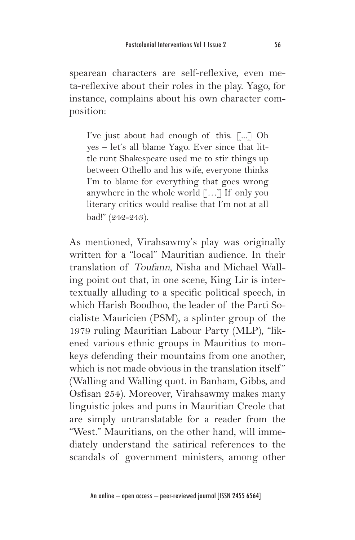spearean characters are self-reflexive, even meta-reflexive about their roles in the play. Yago, for instance, complains about his own character composition:

I've just about had enough of this. [...] Oh yes – let's all blame Yago. Ever since that little runt Shakespeare used me to stir things up between Othello and his wife, everyone thinks I'm to blame for everything that goes wrong anywhere in the whole world […] If only you literary critics would realise that I'm not at all bad!" (242-243).

As mentioned, Virahsawmy's play was originally written for a "local" Mauritian audience. In their translation of Toufann, Nisha and Michael Walling point out that, in one scene, King Lir is intertextually alluding to a specific political speech, in which Harish Boodhoo, the leader of the Parti Socialiste Mauricien (PSM), a splinter group of the 1979 ruling Mauritian Labour Party (MLP), "likened various ethnic groups in Mauritius to monkeys defending their mountains from one another, which is not made obvious in the translation itself" (Walling and Walling quot. in Banham, Gibbs, and Osfisan 254). Moreover, Virahsawmy makes many linguistic jokes and puns in Mauritian Creole that are simply untranslatable for a reader from the "West." Mauritians, on the other hand, will immediately understand the satirical references to the scandals of government ministers, among other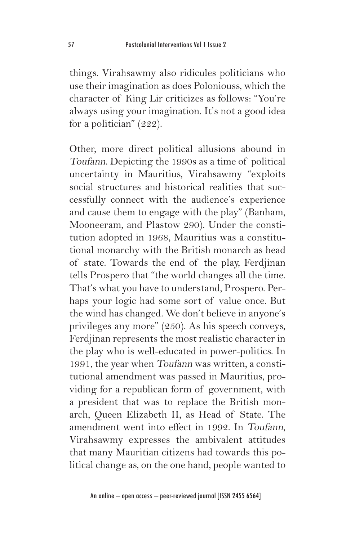things. Virahsawmy also ridicules politicians who use their imagination as does Poloniouss, which the character of King Lir criticizes as follows: "You're always using your imagination. It's not a good idea for a politician" (222).

Other, more direct political allusions abound in Toufann. Depicting the 1990s as a time of political uncertainty in Mauritius, Virahsawmy "exploits social structures and historical realities that successfully connect with the audience's experience and cause them to engage with the play" (Banham, Mooneeram, and Plastow 290). Under the constitution adopted in 1968, Mauritius was a constitutional monarchy with the British monarch as head of state. Towards the end of the play, Ferdjinan tells Prospero that "the world changes all the time. That's what you have to understand, Prospero. Perhaps your logic had some sort of value once. But the wind has changed. We don't believe in anyone's privileges any more" (250). As his speech conveys, Ferdjinan represents the most realistic character in the play who is well-educated in power-politics. In 1991, the year when Toufann was written, a constitutional amendment was passed in Mauritius, providing for a republican form of government, with a president that was to replace the British monarch, Queen Elizabeth II, as Head of State. The amendment went into effect in 1992. In Toufann, Virahsawmy expresses the ambivalent attitudes that many Mauritian citizens had towards this political change as, on the one hand, people wanted to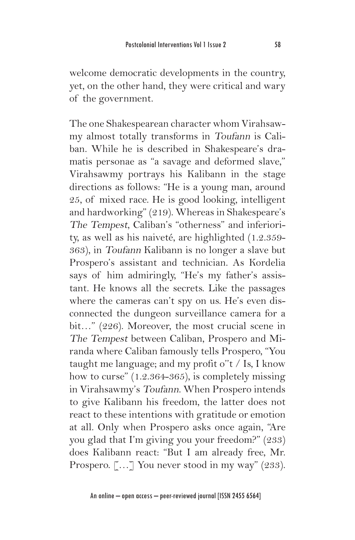welcome democratic developments in the country, yet, on the other hand, they were critical and wary of the government.

The one Shakespearean character whom Virahsawmy almost totally transforms in Toufann is Caliban. While he is described in Shakespeare's dramatis personae as "a savage and deformed slave," Virahsawmy portrays his Kalibann in the stage directions as follows: "He is a young man, around 25, of mixed race. He is good looking, intelligent and hardworking" (219). Whereas in Shakespeare's The Tempest, Caliban's "otherness" and inferiority, as well as his naiveté, are highlighted (1.2.359- 363), in Toufann Kalibann is no longer a slave but Prospero's assistant and technician. As Kordelia says of him admiringly, "He's my father's assistant. He knows all the secrets. Like the passages where the cameras can't spy on us. He's even disconnected the dungeon surveillance camera for a bit…" (226). Moreover, the most crucial scene in The Tempest between Caliban, Prospero and Miranda where Caliban famously tells Prospero, "You taught me language; and my profit o''t / Is, I know how to curse" (1.2.364-365), is completely missing in Virahsawmy's Toufann. When Prospero intends to give Kalibann his freedom, the latter does not react to these intentions with gratitude or emotion at all. Only when Prospero asks once again, "Are you glad that I'm giving you your freedom?" (233) does Kalibann react: "But I am already free, Mr. Prospero. [...] You never stood in my way" (233).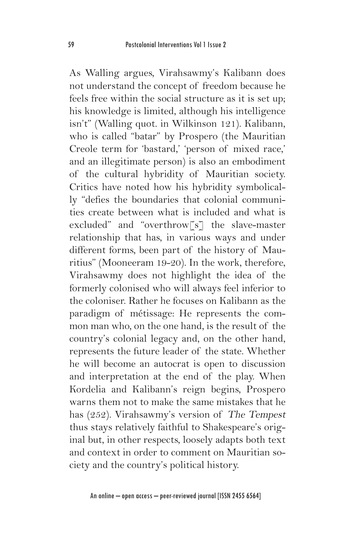As Walling argues, Virahsawmy's Kalibann does not understand the concept of freedom because he feels free within the social structure as it is set up; his knowledge is limited, although his intelligence isn't" (Walling quot. in Wilkinson 121). Kalibann, who is called "batar" by Prospero (the Mauritian Creole term for 'bastard,' 'person of mixed race,' and an illegitimate person) is also an embodiment of the cultural hybridity of Mauritian society. Critics have noted how his hybridity symbolically "defies the boundaries that colonial communities create between what is included and what is excluded" and "overthrow[s] the slave-master relationship that has, in various ways and under different forms, been part of the history of Mauritius" (Mooneeram 19-20). In the work, therefore, Virahsawmy does not highlight the idea of the formerly colonised who will always feel inferior to the coloniser. Rather he focuses on Kalibann as the paradigm of métissage: He represents the common man who, on the one hand, is the result of the country's colonial legacy and, on the other hand, represents the future leader of the state. Whether he will become an autocrat is open to discussion and interpretation at the end of the play. When Kordelia and Kalibann's reign begins, Prospero warns them not to make the same mistakes that he has (252). Virahsawmy's version of The Tempest thus stays relatively faithful to Shakespeare's original but, in other respects, loosely adapts both text and context in order to comment on Mauritian society and the country's political history.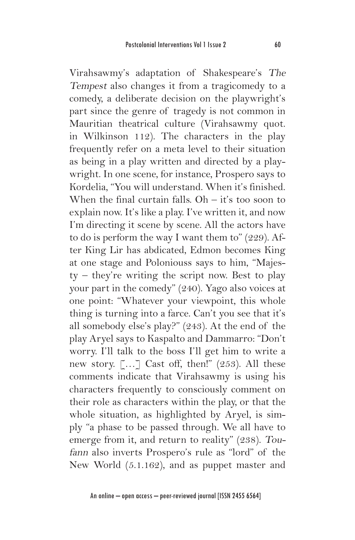Virahsawmy's adaptation of Shakespeare's The Tempest also changes it from a tragicomedy to a comedy, a deliberate decision on the playwright's part since the genre of tragedy is not common in Mauritian theatrical culture (Virahsawmy quot. in Wilkinson 112). The characters in the play frequently refer on a meta level to their situation as being in a play written and directed by a playwright. In one scene, for instance, Prospero says to Kordelia, "You will understand. When it's finished. When the final curtain falls.  $Oh - it's$  too soon to explain now. It's like a play. I've written it, and now I'm directing it scene by scene. All the actors have to do is perform the way I want them to" (229). After King Lir has abdicated, Edmon becomes King at one stage and Poloniouss says to him, "Majesty – they're writing the script now. Best to play your part in the comedy" (240). Yago also voices at one point: "Whatever your viewpoint, this whole thing is turning into a farce. Can't you see that it's all somebody else's play?" (243). At the end of the play Aryel says to Kaspalto and Dammarro: "Don't worry. I'll talk to the boss I'll get him to write a new story. […] Cast off, then!" (253). All these comments indicate that Virahsawmy is using his characters frequently to consciously comment on their role as characters within the play, or that the whole situation, as highlighted by Aryel, is simply "a phase to be passed through. We all have to emerge from it, and return to reality" (238). Toufann also inverts Prospero's rule as "lord" of the New World (5.1.162), and as puppet master and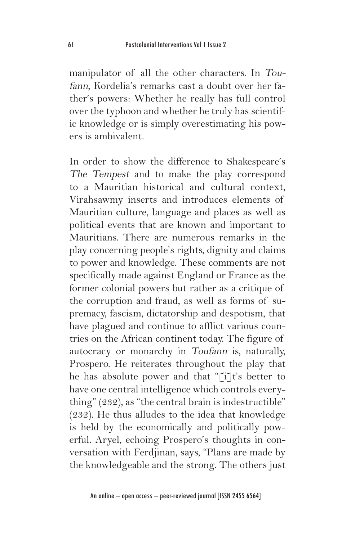manipulator of all the other characters. In Toufann, Kordelia's remarks cast a doubt over her father's powers: Whether he really has full control over the typhoon and whether he truly has scientific knowledge or is simply overestimating his powers is ambivalent.

In order to show the difference to Shakespeare's The Tempest and to make the play correspond to a Mauritian historical and cultural context, Virahsawmy inserts and introduces elements of Mauritian culture, language and places as well as political events that are known and important to Mauritians. There are numerous remarks in the play concerning people's rights, dignity and claims to power and knowledge. These comments are not specifically made against England or France as the former colonial powers but rather as a critique of the corruption and fraud, as well as forms of supremacy, fascism, dictatorship and despotism, that have plagued and continue to afflict various countries on the African continent today. The figure of autocracy or monarchy in Toufann is, naturally, Prospero. He reiterates throughout the play that he has absolute power and that "[i]t's better to have one central intelligence which controls everything" (232), as "the central brain is indestructible" (232). He thus alludes to the idea that knowledge is held by the economically and politically powerful. Aryel, echoing Prospero's thoughts in conversation with Ferdjinan, says, "Plans are made by the knowledgeable and the strong. The others just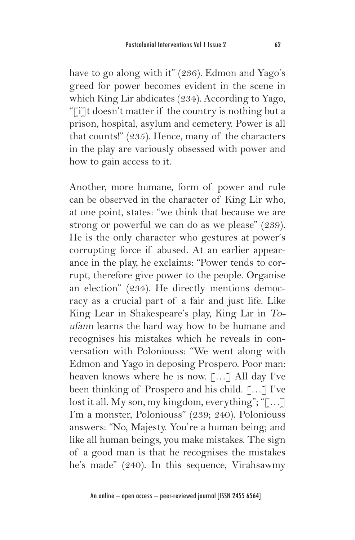have to go along with it" (236). Edmon and Yago's greed for power becomes evident in the scene in which King Lir abdicates (234). According to Yago, "[i]t doesn't matter if the country is nothing but a prison, hospital, asylum and cemetery. Power is all that counts!" (235). Hence, many of the characters in the play are variously obsessed with power and how to gain access to it.

Another, more humane, form of power and rule can be observed in the character of King Lir who, at one point, states: "we think that because we are strong or powerful we can do as we please" (239). He is the only character who gestures at power's corrupting force if abused. At an earlier appearance in the play, he exclaims: "Power tends to corrupt, therefore give power to the people. Organise an election" (234). He directly mentions democracy as a crucial part of a fair and just life. Like King Lear in Shakespeare's play, King Lir in Toufann learns the hard way how to be humane and recognises his mistakes which he reveals in conversation with Poloniouss: "We went along with Edmon and Yago in deposing Prospero. Poor man: heaven knows where he is now. […] All day I've been thinking of Prospero and his child. [...] I've lost it all. My son, my kingdom, everything"; "[…] I'm a monster, Poloniouss" (239; 240). Poloniouss answers: "No, Majesty. You're a human being; and like all human beings, you make mistakes. The sign of a good man is that he recognises the mistakes he's made" (240). In this sequence, Virahsawmy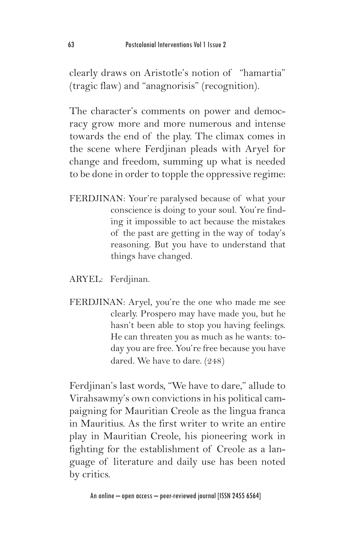clearly draws on Aristotle's notion of "hamartia" (tragic flaw) and "anagnorisis" (recognition).

The character's comments on power and democracy grow more and more numerous and intense towards the end of the play. The climax comes in the scene where Ferdjinan pleads with Aryel for change and freedom, summing up what is needed to be done in order to topple the oppressive regime:

- FERDJINAN: Your're paralysed because of what your conscience is doing to your soul. You're finding it impossible to act because the mistakes of the past are getting in the way of today's reasoning. But you have to understand that things have changed.
- ARYEL: Ferdjinan.
- FERDJINAN: Aryel, you're the one who made me see clearly. Prospero may have made you, but he hasn't been able to stop you having feelings. He can threaten you as much as he wants: today you are free. You're free because you have dared. We have to dare. (248)

Ferdjinan's last words, "We have to dare," allude to Virahsawmy's own convictions in his political campaigning for Mauritian Creole as the lingua franca in Mauritius. As the first writer to write an entire play in Mauritian Creole, his pioneering work in fighting for the establishment of Creole as a language of literature and daily use has been noted by critics.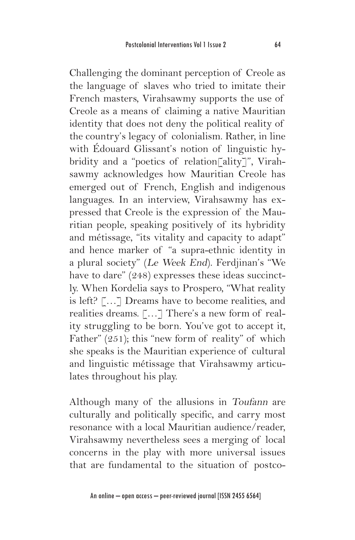Challenging the dominant perception of Creole as the language of slaves who tried to imitate their French masters, Virahsawmy supports the use of Creole as a means of claiming a native Mauritian identity that does not deny the political reality of the country's legacy of colonialism. Rather, in line with Édouard Glissant's notion of linguistic hybridity and a "poetics of relation[ality]", Virahsawmy acknowledges how Mauritian Creole has emerged out of French, English and indigenous languages. In an interview, Virahsawmy has expressed that Creole is the expression of the Mauritian people, speaking positively of its hybridity and métissage, "its vitality and capacity to adapt" and hence marker of "a supra-ethnic identity in a plural society" (Le Week End). Ferdjinan's "We have to dare" (248) expresses these ideas succinctly. When Kordelia says to Prospero, "What reality is left? […] Dreams have to become realities, and realities dreams. […] There's a new form of reality struggling to be born. You've got to accept it, Father" (251); this "new form of reality" of which she speaks is the Mauritian experience of cultural and linguistic métissage that Virahsawmy articulates throughout his play.

Although many of the allusions in Toufann are culturally and politically specific, and carry most resonance with a local Mauritian audience/reader, Virahsawmy nevertheless sees a merging of local concerns in the play with more universal issues that are fundamental to the situation of postco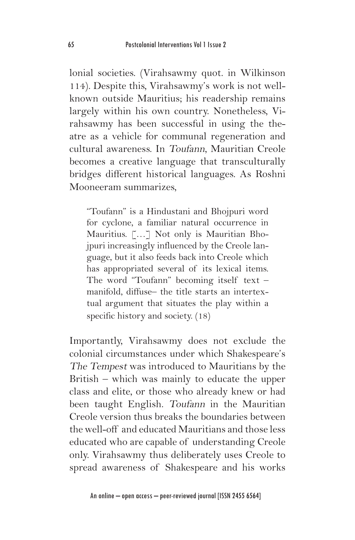lonial societies. (Virahsawmy quot. in Wilkinson 114). Despite this, Virahsawmy's work is not wellknown outside Mauritius; his readership remains largely within his own country. Nonetheless, Virahsawmy has been successful in using the theatre as a vehicle for communal regeneration and cultural awareness. In Toufann, Mauritian Creole becomes a creative language that transculturally bridges different historical languages. As Roshni Mooneeram summarizes,

"Toufann" is a Hindustani and Bhojpuri word for cyclone, a familiar natural occurrence in Mauritius. […] Not only is Mauritian Bhojpuri increasingly influenced by the Creole language, but it also feeds back into Creole which has appropriated several of its lexical items. The word "Toufann" becoming itself text – manifold, diffuse– the title starts an intertextual argument that situates the play within a specific history and society. (18)

Importantly, Virahsawmy does not exclude the colonial circumstances under which Shakespeare's The Tempest was introduced to Mauritians by the British – which was mainly to educate the upper class and elite, or those who already knew or had been taught English. Toufann in the Mauritian Creole version thus breaks the boundaries between the well-off and educated Mauritians and those less educated who are capable of understanding Creole only. Virahsawmy thus deliberately uses Creole to spread awareness of Shakespeare and his works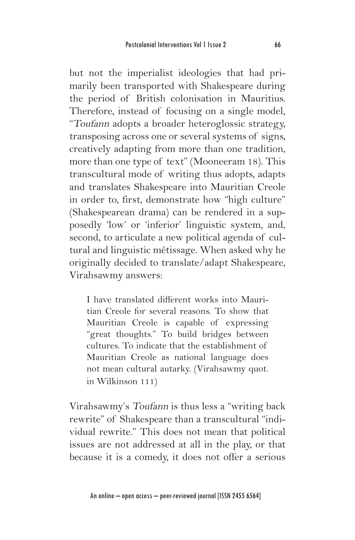but not the imperialist ideologies that had primarily been transported with Shakespeare during the period of British colonisation in Mauritius. Therefore, instead of focusing on a single model, "Toufann adopts a broader heteroglossic strategy, transposing across one or several systems of signs, creatively adapting from more than one tradition, more than one type of text" (Mooneeram 18). This transcultural mode of writing thus adopts, adapts and translates Shakespeare into Mauritian Creole in order to, first, demonstrate how "high culture" (Shakespearean drama) can be rendered in a supposedly 'low' or 'inferior' linguistic system, and, second, to articulate a new political agenda of cultural and linguistic métissage. When asked why he originally decided to translate/adapt Shakespeare, Virahsawmy answers:

I have translated different works into Mauritian Creole for several reasons. To show that Mauritian Creole is capable of expressing "great thoughts." To build bridges between cultures. To indicate that the establishment of Mauritian Creole as national language does not mean cultural autarky. (Virahsawmy quot. in Wilkinson 111)

Virahsawmy's Toufann is thus less a "writing back rewrite" of Shakespeare than a transcultural "individual rewrite." This does not mean that political issues are not addressed at all in the play, or that because it is a comedy, it does not offer a serious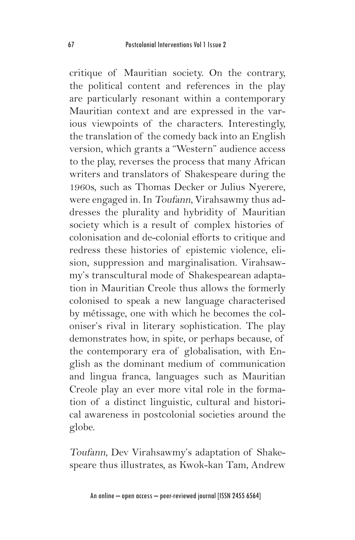critique of Mauritian society. On the contrary, the political content and references in the play are particularly resonant within a contemporary Mauritian context and are expressed in the various viewpoints of the characters. Interestingly, the translation of the comedy back into an English version, which grants a "Western" audience access to the play, reverses the process that many African writers and translators of Shakespeare during the 1960s, such as Thomas Decker or Julius Nyerere, were engaged in. In Toufann, Virahsawmy thus addresses the plurality and hybridity of Mauritian society which is a result of complex histories of colonisation and de-colonial efforts to critique and redress these histories of epistemic violence, elision, suppression and marginalisation. Virahsawmy's transcultural mode of Shakespearean adaptation in Mauritian Creole thus allows the formerly colonised to speak a new language characterised by métissage, one with which he becomes the coloniser's rival in literary sophistication. The play demonstrates how, in spite, or perhaps because, of the contemporary era of globalisation, with English as the dominant medium of communication and lingua franca, languages such as Mauritian Creole play an ever more vital role in the formation of a distinct linguistic, cultural and historical awareness in postcolonial societies around the globe.

Toufann, Dev Virahsawmy's adaptation of Shakespeare thus illustrates, as Kwok-kan Tam, Andrew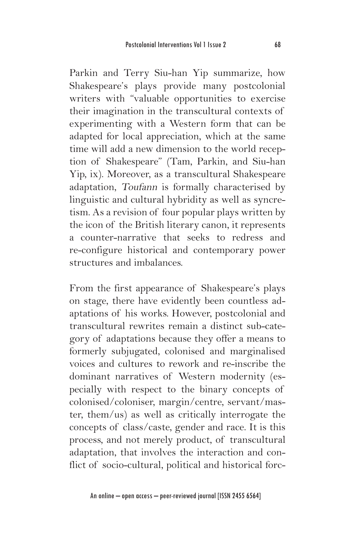Parkin and Terry Siu-han Yip summarize, how Shakespeare's plays provide many postcolonial writers with "valuable opportunities to exercise their imagination in the transcultural contexts of experimenting with a Western form that can be adapted for local appreciation, which at the same time will add a new dimension to the world reception of Shakespeare" (Tam, Parkin, and Siu-han Yip, ix). Moreover, as a transcultural Shakespeare adaptation, Toufann is formally characterised by linguistic and cultural hybridity as well as syncretism. As a revision of four popular plays written by the icon of the British literary canon, it represents a counter-narrative that seeks to redress and re-configure historical and contemporary power structures and imbalances.

From the first appearance of Shakespeare's plays on stage, there have evidently been countless adaptations of his works. However, postcolonial and transcultural rewrites remain a distinct sub-category of adaptations because they offer a means to formerly subjugated, colonised and marginalised voices and cultures to rework and re-inscribe the dominant narratives of Western modernity (especially with respect to the binary concepts of colonised/coloniser, margin/centre, servant/master, them/us) as well as critically interrogate the concepts of class/caste, gender and race. It is this process, and not merely product, of transcultural adaptation, that involves the interaction and conflict of socio-cultural, political and historical forc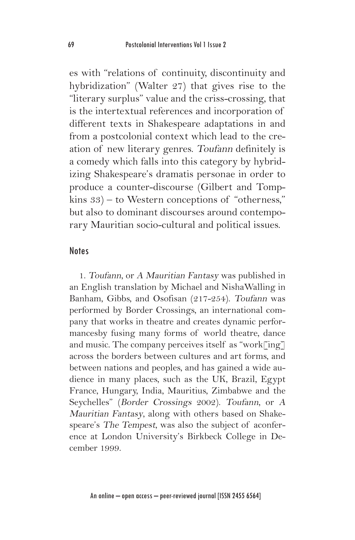es with "relations of continuity, discontinuity and hybridization" (Walter 27) that gives rise to the "literary surplus" value and the criss-crossing, that is the intertextual references and incorporation of different texts in Shakespeare adaptations in and from a postcolonial context which lead to the creation of new literary genres. Toufann definitely is a comedy which falls into this category by hybridizing Shakespeare's dramatis personae in order to produce a counter-discourse (Gilbert and Tompkins 33) – to Western conceptions of "otherness," but also to dominant discourses around contemporary Mauritian socio-cultural and political issues.

#### **Notes**

1. Toufann, or A Mauritian Fantasy was published in an English translation by Michael and NishaWalling in Banham, Gibbs, and Osofisan (217-254). Toufann was performed by Border Crossings, an international company that works in theatre and creates dynamic performancesby fusing many forms of world theatre, dance and music. The company perceives itself as "work $\lceil \text{ing} \rceil$ across the borders between cultures and art forms, and between nations and peoples, and has gained a wide audience in many places, such as the UK, Brazil, Egypt France, Hungary, India, Mauritius, Zimbabwe and the Seychelles" (Border Crossings 2002). Toufann, or <sup>A</sup> Mauritian Fantasy, along with others based on Shakespeare's The Tempest, was also the subject of aconference at London University's Birkbeck College in December 1999.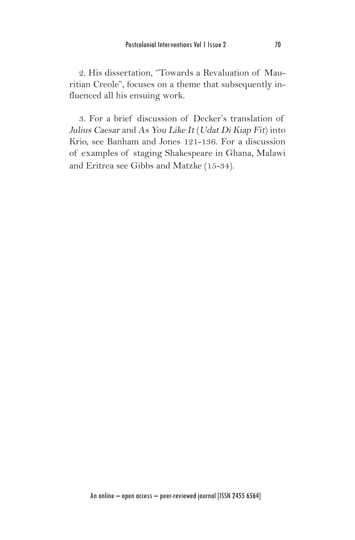2. His dissertation, "Towards a Revaluation of Mauritian Creole", focuses on a theme that subsequently influenced all his ensuing work.

3. For a brief discussion of Decker's translation of Julius Caesar and As You Like It (Udat Di Kiap Fit) into Krio, see Banham and Jones 121-136. For a discussion of examples of staging Shakespeare in Ghana, Malawi and Eritrea see Gibbs and Matzke (15-34).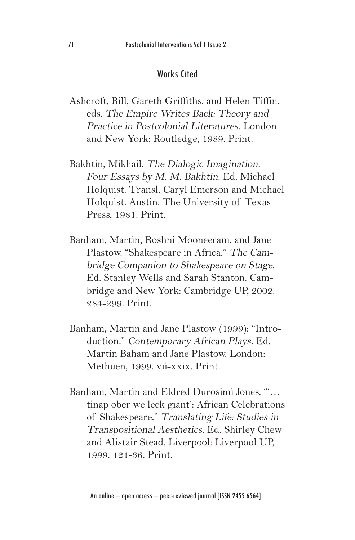## Works Cited

- Ashcroft, Bill, Gareth Griffiths, and Helen Tiffin, eds. The Empire Writes Back: Theory and Practice in Postcolonial Literatures. London and New York: Routledge, 1989. Print.
- Bakhtin, Mikhail. The Dialogic Imagination. Four Essays by M. M. Bakhtin. Ed. Michael Holquist. Transl. Caryl Emerson and Michael Holquist. Austin: The University of Texas Press, 1981. Print.
- Banham, Martin, Roshni Mooneeram, and Jane Plastow. "Shakespeare in Africa." The Cambridge Companion to Shakespeare on Stage. Ed. Stanley Wells and Sarah Stanton. Cambridge and New York: Cambridge UP, 2002. 284-299. Print.
- Banham, Martin and Jane Plastow (1999): "Introduction." Contemporary African Plays. Ed. Martin Baham and Jane Plastow. London: Methuen, 1999. vii-xxix. Print.
- Banham, Martin and Eldred Durosimi Jones. "'… tinap ober we leck giant': African Celebrations of Shakespeare." Translating Life: Studies in Transpositional Aesthetics. Ed. Shirley Chew and Alistair Stead. Liverpool: Liverpool UP, 1999. 121-36. Print.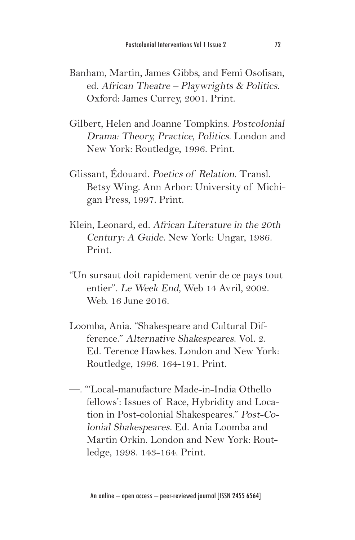- Banham, Martin, James Gibbs, and Femi Osofisan, ed. African Theatre – Playwrights & Politics. Oxford: James Currey, 2001. Print.
- Gilbert, Helen and Joanne Tompkins. Postcolonial Drama: Theory, Practice, Politics. London and New York: Routledge, 1996. Print.
- Glissant, Édouard. Poetics of Relation. Transl. Betsy Wing. Ann Arbor: University of Michigan Press, 1997. Print.
- Klein, Leonard, ed. African Literature in the 20th Century: A Guide. New York: Ungar, 1986. Print.
- "Un sursaut doit rapidement venir de ce pays tout entier". Le Week End, Web 14 Avril, 2002. Web. 16 June 2016.
- Loomba, Ania. "Shakespeare and Cultural Difference." Alternative Shakespeares. Vol. 2. Ed. Terence Hawkes. London and New York: Routledge, 1996. 164-191. Print.
- —. "'Local-manufacture Made-in-India Othello fellows': Issues of Race, Hybridity and Location in Post-colonial Shakespeares." Post-Colonial Shakespeares. Ed. Ania Loomba and Martin Orkin. London and New York: Routledge, 1998. 143-164. Print.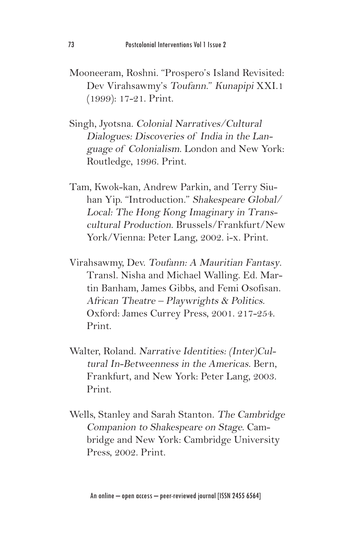- Mooneeram, Roshni. "Prospero's Island Revisited: Dev Virahsawmy's Toufann." Kunapipi XXI.1 (1999): 17-21. Print.
- Singh, Jyotsna. Colonial Narratives/Cultural Dialogues: Discoveries of India in the Language of Colonialism. London and New York: Routledge, 1996. Print.
- Tam, Kwok-kan, Andrew Parkin, and Terry Siuhan Yip. "Introduction." Shakespeare Global/ Local: The Hong Kong Imaginary in Transcultural Production. Brussels/Frankfurt/New York/Vienna: Peter Lang, 2002. i-x. Print.
- Virahsawmy, Dev. Toufann: A Mauritian Fantasy. Transl. Nisha and Michael Walling. Ed. Martin Banham, James Gibbs, and Femi Osofisan. African Theatre – Playwrights & Politics. Oxford: James Currey Press, 2001. 217-254. Print.
- Walter, Roland. Narrative Identities: (Inter)Cultural In-Betweenness in the Americas. Bern, Frankfurt, and New York: Peter Lang, 2003. Print.
- Wells, Stanley and Sarah Stanton. The Cambridge Companion to Shakespeare on Stage. Cambridge and New York: Cambridge University Press, 2002. Print.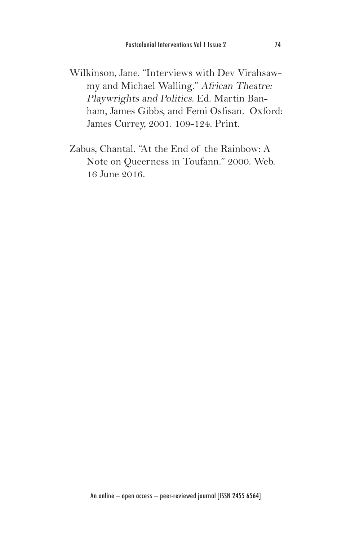Wilkinson, Jane. "Interviews with Dev Virahsawmy and Michael Walling." African Theatre: Playwrights and Politics. Ed. Martin Banham, James Gibbs, and Femi Osfisan. Oxford: James Currey, 2001. 109-124. Print.

Zabus, Chantal. "At the End of the Rainbow: A Note on Queerness in Toufann." 2000. Web. 16 June 2016.